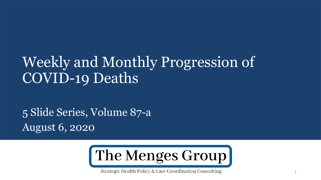## Weekly and Monthly Progression of COVID-19 Deaths

5 Slide Series, Volume 87-a August 6, 2020



Strategic Health Policy & Care Coordination Consulting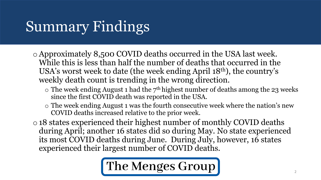# Summary Findings

- oApproximately 8,500 COVID deaths occurred in the USA last week. While this is less than half the number of deaths that occurred in the USA's worst week to date (the week ending April 18th), the country's weekly death count is trending in the wrong direction.
	- $\circ$  The week ending August 1 had the  $7<sup>th</sup>$  highest number of deaths among the 23 weeks since the first COVID death was reported in the USA.
	- o The week ending August 1 was the fourth consecutive week where the nation's new COVID deaths increased relative to the prior week.
- o18 states experienced their highest number of monthly COVID deaths during April; another 16 states did so during May. No state experienced its most COVID deaths during June. During July, however, 16 states experienced their largest number of COVID deaths.

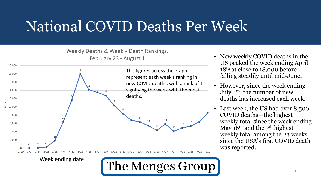## National COVID Deaths Per Week

#### Weekly Deaths & Weekly Death Rankings,





- New weekly COVID deaths in the US peaked the week ending April 18<sup>th</sup> at close to 18,000 before falling steadily until mid-June.
- However, since the week ending July  $4<sup>th</sup>$ , the number of new deaths has increased each week.
- Last week, the US had over 8,500 COVID deaths—the highest weekly total since the week ending May  $16<sup>th</sup>$  and the  $7<sup>th</sup>$  highest weekly total among the 23 weeks since the USA's first COVID death was reported.

Week ending date

The Menges Group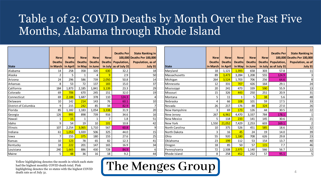### Table 1 of 2: COVID Deaths by Month Over the Past Five Months, Alabama through Rhode Island

|                      | <b>New</b><br><b>Deaths</b> | <b>New</b><br><b>Deaths</b> | <b>New</b><br><b>Deaths</b> | <b>New</b><br><b>Deaths</b> | <b>New</b><br><b>Deaths</b> | <b>Deaths Per</b><br>Population, | <b>State Ranking in</b><br>100,000 Deaths Per 100,000<br>Population, as of |
|----------------------|-----------------------------|-----------------------------|-----------------------------|-----------------------------|-----------------------------|----------------------------------|----------------------------------------------------------------------------|
| <b>State</b>         | in March                    | in April                    | in May                      | in June                     | in July                     | as of July 31                    | July 31                                                                    |
| Alabama              | 14                          | 258                         | 358                         | 320                         | 630                         | 32.2                             | 18                                                                         |
| Alaska               | $\overline{2}$              | 5                           | 1                           | 4                           | $\overline{9}$              | 2.9                              | 50                                                                         |
| Arizona              | 24                          | 296                         | 586                         | 739                         | 2,050                       | 50.8                             | 14                                                                         |
| Arkansas             | 8                           | 53                          | 72                          | 137                         | 183                         | 15.0                             | 37                                                                         |
| California           | 184                         | 1,873                       | 2,185                       | 1,841                       | 3,139                       | 23.3                             | 29                                                                         |
| Colorado             | 69                          | 706                         | 670                         | 245                         | 151                         | 32.0                             | 19                                                                         |
| Connecticut          | 69                          | 2,188                       | 1,687                       | 378                         | 110                         | 124.3                            | 4                                                                          |
| Delaware             | 10                          | 142                         | 214                         | 143                         | 76                          | 60.1                             | 10                                                                         |
| District of Columbia | 9                           | 215                         | 242                         | 85                          | 34                          | 82.9                             | 7                                                                          |
| Florida              | 85                          | 1,182                       | 1,183                       | 1,054                       | 3,338                       | 31.9                             | 20                                                                         |
| Georgia              | 126                         | 995                         | 898                         | 739                         | 916                         | 34.6                             | 16                                                                         |
| Hawaii               | $\mathbf 1$                 | 15                          | 1                           | $\mathbf{1}$                | $\overline{7}$              | 1.8                              | 51                                                                         |
| Idaho                | 9                           | 54                          | 19                          | 10                          | 101                         | 10.8                             | 42                                                                         |
| Illinois             | 107                         | 2,254                       | 3,065                       | 1,710                       | 567                         | 60.8                             | 9                                                                          |
| Indiana              | 61                          | 1,053                       | 1,020                       | 506                         | 325                         | 44.0                             | 15                                                                         |
| lowa                 | 7                           | 155                         | 375                         | 180                         | 155                         | 27.6                             | 25                                                                         |
| Kansas               | 10                          | 123                         | 78                          | 65                          | 82                          | 12.3                             | 41                                                                         |
| Kentucky             | 18                          | 222                         | 201                         | 147                         | 165                         | 16.9                             | 34                                                                         |
| Louisiana            | 240                         | 1,665                       | 886                         | 430                         | 728                         | 84.9                             | 6                                                                          |
| <b>Maine</b>         | 5                           | 48                          | 36                          | 16                          | 18                          | 9.2                              | 44                                                                         |

|                 | <b>New</b><br><b>Deaths</b> | <b>New</b><br><b>Deaths</b> | <b>New</b><br><b>Deaths</b> | <b>New</b><br><b>Deaths</b> | <b>New</b><br><b>Deaths</b> | <b>Deaths Per</b><br>Population, | <b>State Ranking in</b><br>100,000 Deaths Per 100,000<br>Population, as of |
|-----------------|-----------------------------|-----------------------------|-----------------------------|-----------------------------|-----------------------------|----------------------------------|----------------------------------------------------------------------------|
| <b>State</b>    | in March                    | in April                    | in May                      | in June                     | in July                     | as of July 31                    | <b>July 31</b>                                                             |
| Maryland        | 18                          | 1,121                       | 1,393                       | 658                         | 303                         | 57.8                             | 11                                                                         |
| l Massachusetts | 89                          | 3,473                       | 3,284                       | 1,208                       | 555                         | 124.9                            |                                                                            |
| Michigan        | 264                         | 3,524                       | 1,703                       | 706                         | 256                         | 64.6                             | 8                                                                          |
| Minnesota       | 12                          | 331                         | 707                         | 426                         | 164                         | 29.1                             | 24                                                                         |
| Mississippi     | 20                          | 241                         | 473                         | 339                         | 590                         | 55.9                             | 13                                                                         |
| Missouri        | 15                          | 326                         | 443                         | 250                         | 251                         | 20.9                             | 31                                                                         |
| Montana         | 5                           | 11                          | $\mathbf{1}$                | 5                           | 38                          | 5.6                              | 48                                                                         |
| l Nebraska      | 4                           | 66                          | 108                         | 101                         | 59                          | 17.5                             | 33                                                                         |
| Nevada          | 26                          | 217                         | 176                         | 88                          | 324                         | 27.0                             | 26                                                                         |
| New Hampshire   | 3                           | 69                          | 173                         | 126                         | 44                          | 30.5                             | 22                                                                         |
| New Jersey      | 267                         | 6,961                       | 4,470                       | 3,337                       | 784                         | 178.1                            |                                                                            |
| New Mexico      | 5                           | 118                         | 233                         | 141                         | 145                         | 30.6                             | 21                                                                         |
| New York        | 1,550                       | 21,052                      | 7,429                       | 2,253                       | 603                         | 169.1                            | $\overline{2}$                                                             |
| North Carolina  | 10                          | 375                         | 526                         | 451                         | 585                         | 18.6                             | 32                                                                         |
| North Dakota    | 3                           | 16                          | 45                          | 24                          | 19                          | 14.0                             | 39                                                                         |
| lOhio           | 55                          | 920                         | 1,180                       | 708                         | 626                         | 29.8                             | 23                                                                         |
| l Oklahoma      | 23                          | 199                         | 112                         | 53                          | 154                         | 13.7                             | 40                                                                         |
| Oregon          | 18                          | 85                          | 50                          | 57                          | 115                         | 7.7                              | 46                                                                         |
| Pennsylvania    | 72                          | 2,508                       | 2,975                       | 1,140                       | 566                         | 56.7                             | 12                                                                         |
| Rhode Island    | 8                           | 258                         | 452                         | 232                         | 57                          | 95.1                             | 5                                                                          |

Yellow highlighting denotes the month in which each state had the highest monthly COVID death total. Pink highlighting denotes the 10 states with the highest COVID death rate as of July 31.

The Menges Group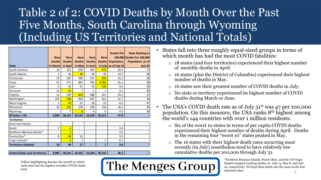### Table 2 of 2: COVID Deaths by Month Over the Past Five Months, South Carolina through Wyoming (Including US Territories and National Totals)

The Menges Group

|                             | <b>New</b>                   | <b>New</b>               | <b>New</b>               | <b>New</b>               | <b>New</b>               | <b>Deaths Perl</b> | <b>State Ranking in</b><br>100,000 Deaths Per 100,000 |
|-----------------------------|------------------------------|--------------------------|--------------------------|--------------------------|--------------------------|--------------------|-------------------------------------------------------|
|                             | <b>Deaths</b>                | <b>Deaths</b>            | <b>Deaths</b>            | <b>Deaths</b>            | <b>Deaths</b>            | Population,        | Population, as of                                     |
| <b>State</b>                | in March                     | in April                 | in May                   | in June                  | in July                  | as of July 31      | July 31                                               |
| South Carolina              | 22                           | 222                      | 250                      | 245                      | 973                      | 33.3               | 17                                                    |
| South Dakota                | $\mathbf{1}$                 | 16                       | 45                       | 29                       | 39                       | 14.7               | 38                                                    |
| Tennessee                   | 13                           | 187                      | 160                      | 237                      | 450                      | 15.3               | 36                                                    |
| Texas                       | 57                           | 771                      | 855                      | 799                      | 4,783                    | 25.1               | 28                                                    |
| Utah                        | 5                            | 41                       | 67                       | 59                       | 136                      | 9.6                | 43                                                    |
| Vermont                     | 13                           | 35                       | 7                        | 1                        | $\mathbf{1}$             | 9.1                | 45                                                    |
| Virginia                    | 12                           | 540                      | 823                      | 388                      | 411                      | 25.5               | 27                                                    |
| Washington                  | 225                          | 596                      | 304                      | 207                      | 321                      | 21.7               | 30                                                    |
| West Virginia               | $\mathbf{1}$                 | 43                       | 31                       | 18                       | 23                       | 6.5                | 47                                                    |
| Wisconsin                   | 25                           | 291                      | 278                      | 199                      | 150                      | 16.2               | 35                                                    |
| Wyoming                     |                              | $\overline{7}$           | 9                        | 4                        | 6                        | 4.5                | 49                                                    |
| 50 States + DC              | 3,899                        | 58,122                   | 42,539                   | 23,239                   | 26,315                   | 47.0               |                                                       |
| <b>Territories</b>          |                              |                          |                          |                          |                          |                    |                                                       |
| American Samoa              | $\overline{\phantom{a}}$     | $\overline{\phantom{a}}$ | $\overline{a}$           | L,                       | $\overline{\phantom{0}}$ | $\blacksquare$     |                                                       |
| Guam                        | 2                            | $\overline{4}$           | $\overline{\phantom{0}}$ | ٠                        | ٠                        | 3.6                |                                                       |
| Northern Mariana Islands*   | $\qquad \qquad \blacksquare$ | $\overline{2}$           | $\overline{\phantom{0}}$ | $\overline{\phantom{a}}$ | $\overline{\phantom{a}}$ | 3.5                |                                                       |
| Puerto Rico*                | 8                            | 84                       | 15                       | $\overline{\phantom{a}}$ | ٠                        | 3.5                |                                                       |
| Virgin Islands*             | $\qquad \qquad \blacksquare$ | $\overline{4}$           | 2                        | $\overline{\phantom{0}}$ | 1                        | 6.7                |                                                       |
| <b>Territories Subtotal</b> | 10                           | 94                       | 17                       |                          | $\mathbf{1}$             | 3.6                |                                                       |

**United States and Territories 3,909 58,216 42,556 23,239 26,316 46.5 -**

Yellow highlighting denotes the month in which each state had the highest monthly COVID death total.

• States fall into three roughly equal-sized groups in terms of which month has had the most COVID fatalities:

- o 18 states (and four territories) experienced their highest number of monthly deaths in April.
- o 16 states (plus the District of Columbia) experienced their highest number of deaths in May.
- o 16 states saw their greatest number of COVID deaths in July.
- o No state or territory experienced its highest number of COVID deaths during March or June.
- The USA's COVID death rate as of July 31<sup>st</sup> was 47 per 100,000 population. On this measure, the USA ranks 8th highest among the world's 144 countries with over 1 million residents.
	- o Six of the worst 10 states in terms of per capita COVID deaths experienced their highest number of deaths during April. Deaths in the remaining four "worst 10" states peaked in May.
	- o The 16 states with their highest death rates occurring most recently (in July) nonetheless tend to have relatively low cumulative deaths per 100,000 through July 31.

5 \*Northern Mariana Islands, Puerto Rico, and the US Virgin Islands stopped tracking deaths on July 13, May 8, and July 22, respectively. We kept their death rate the same as the last reported value.